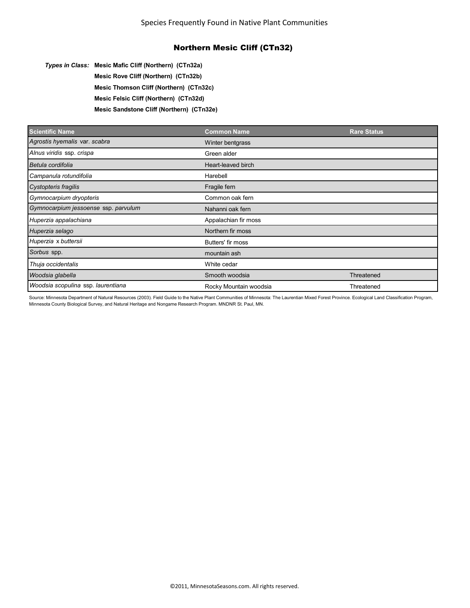*Types in Class:* **Mesic Mafic Cliff (Northern) (CTn32a) Mesic Rove Cliff (Northern) (CTn32b)**

**Mesic Thomson Cliff (Northern) (CTn32c)**

**Mesic Felsic Cliff (Northern) (CTn32d)**

**Mesic Sandstone Cliff (Northern) (CTn32e)**

| <b>Scientific Name</b>               | <b>Common Name</b>     | <b>Rare Status</b> |
|--------------------------------------|------------------------|--------------------|
| Agrostis hyemalis var. scabra        | Winter bentgrass       |                    |
| Alnus viridis ssp. crispa            | Green alder            |                    |
| Betula cordifolia                    | Heart-leaved birch     |                    |
| Campanula rotundifolia               | Harebell               |                    |
| Cystopteris fragilis                 | Fragile fern           |                    |
| Gymnocarpium dryopteris              | Common oak fern        |                    |
| Gymnocarpium jessoense ssp. parvulum | Nahanni oak fern       |                    |
| Huperzia appalachiana                | Appalachian fir moss   |                    |
| Huperzia selago                      | Northern fir moss      |                    |
| Huperzia x buttersii                 | Butters' fir moss      |                    |
| Sorbus spp.                          | mountain ash           |                    |
| Thuja occidentalis                   | White cedar            |                    |
| Woodsia glabella                     | Smooth woodsia         | Threatened         |
| Woodsia scopulina ssp. laurentiana   | Rocky Mountain woodsia | Threatened         |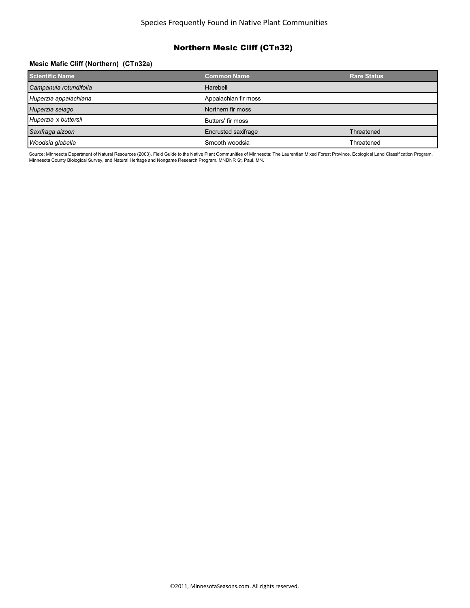### **Mesic Mafic Cliff (Northern) (CTn32a)**

| <b>Scientific Name</b> | <b>Common Name</b>   | <b>Rare Status</b> |
|------------------------|----------------------|--------------------|
| Campanula rotundifolia | Harebell             |                    |
| Huperzia appalachiana  | Appalachian fir moss |                    |
| Huperzia selago        | Northern fir moss    |                    |
| Huperzia x buttersii   | Butters' fir moss    |                    |
| Saxifraga aizoon       | Encrusted saxifrage  | Threatened         |
| Woodsia glabella       | Smooth woodsia       | Threatened         |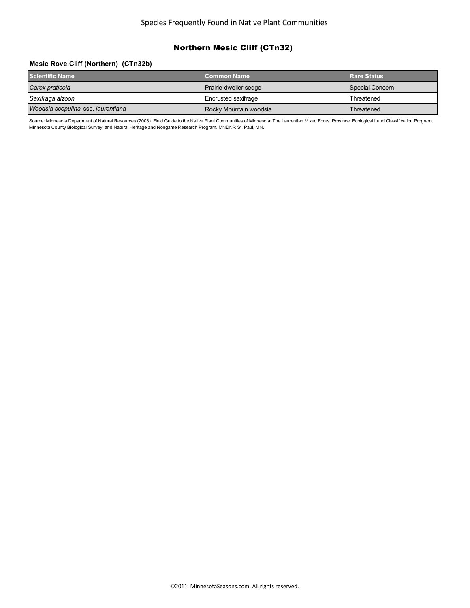#### Species Frequently Found in Native Plant Communities

# Northern Mesic Cliff (CTn32)

#### **Mesic Rove Cliff (Northern) (CTn32b)**

| <b>Scientific Name</b>             | <b>Common Name</b>     | <b>Rare Status</b> |
|------------------------------------|------------------------|--------------------|
| Carex praticola                    | Prairie-dweller sedge  | Special Concern    |
| Saxifraga aizoon                   | Encrusted saxifrage    | Threatened         |
| Woodsia scopulina ssp. laurentiana | Rocky Mountain woodsia | Threatened         |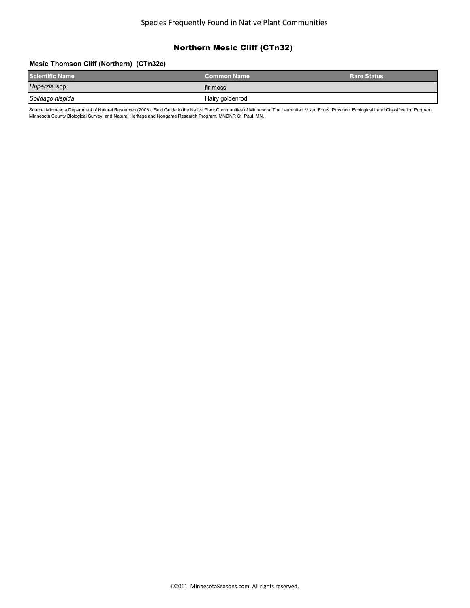#### **Mesic Thomson Cliff (Northern) (CTn32c)**

| <b>Scientific Name</b> | <b>Common Name</b> | <b>Rare Status</b> |
|------------------------|--------------------|--------------------|
| Huperzia spp.          | fir moss           |                    |
| Solidago hispida       | Hairy goldenrod    |                    |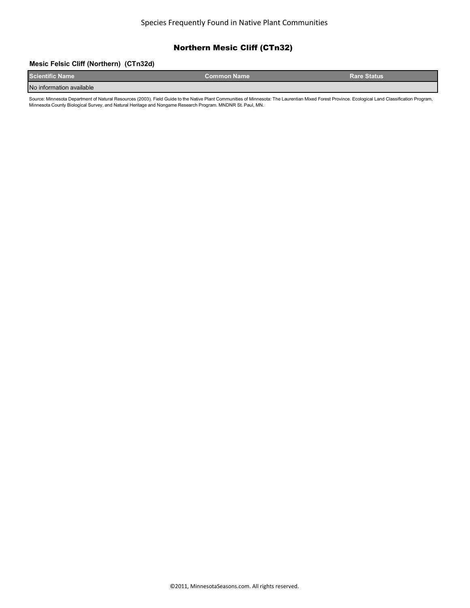#### **Mesic Felsic Cliff (Northern) (CTn32d)**

| <b>Scientific Name</b>   | <b>Common Name</b> ˈ | <b>Rare Status</b> |
|--------------------------|----------------------|--------------------|
| No information available |                      |                    |